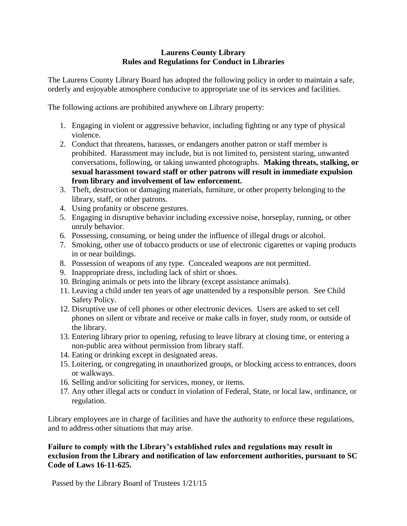## **Laurens County Library Rules and Regulations for Conduct in Libraries**

The Laurens County Library Board has adopted the following policy in order to maintain a safe, orderly and enjoyable atmosphere conducive to appropriate use of its services and facilities.

The following actions are prohibited anywhere on Library property:

- 1. Engaging in violent or aggressive behavior, including fighting or any type of physical violence.
- 2. Conduct that threatens, harasses, or endangers another patron or staff member is prohibited. Harassment may include, but is not limited to, persistent staring, unwanted conversations, following, or taking unwanted photographs. **Making threats, stalking, or sexual harassment toward staff or other patrons will result in immediate expulsion from library and involvement of law enforcement.**
- 3. Theft, destruction or damaging materials, furniture, or other property belonging to the library, staff, or other patrons.
- 4. Using profanity or obscene gestures.
- 5. Engaging in disruptive behavior including excessive noise, horseplay, running, or other unruly behavior.
- 6. Possessing, consuming, or being under the influence of illegal drugs or alcohol.
- 7. Smoking, other use of tobacco products or use of electronic cigarettes or vaping products in or near buildings.
- 8. Possession of weapons of any type. Concealed weapons are not permitted.
- 9. Inappropriate dress, including lack of shirt or shoes.
- 10. Bringing animals or pets into the library (except assistance animals).
- 11. Leaving a child under ten years of age unattended by a responsible person. See Child Safety Policy.
- 12. Disruptive use of cell phones or other electronic devices. Users are asked to set cell phones on silent or vibrate and receive or make calls in foyer, study room, or outside of the library.
- 13. Entering library prior to opening, refusing to leave library at closing time, or entering a non-public area without permission from library staff.
- 14. Eating or drinking except in designated areas.
- 15. Loitering, or congregating in unauthorized groups, or blocking access to entrances, doors or walkways.
- 16. Selling and/or soliciting for services, money, or items.
- 17. Any other illegal acts or conduct in violation of Federal, State, or local law, ordinance, or regulation.

Library employees are in charge of facilities and have the authority to enforce these regulations, and to address other situations that may arise.

## **Failure to comply with the Library's established rules and regulations may result in exclusion from the Library and notification of law enforcement authorities, pursuant to SC Code of Laws 16-11-625.**

Passed by the Library Board of Trustees 1/21/15